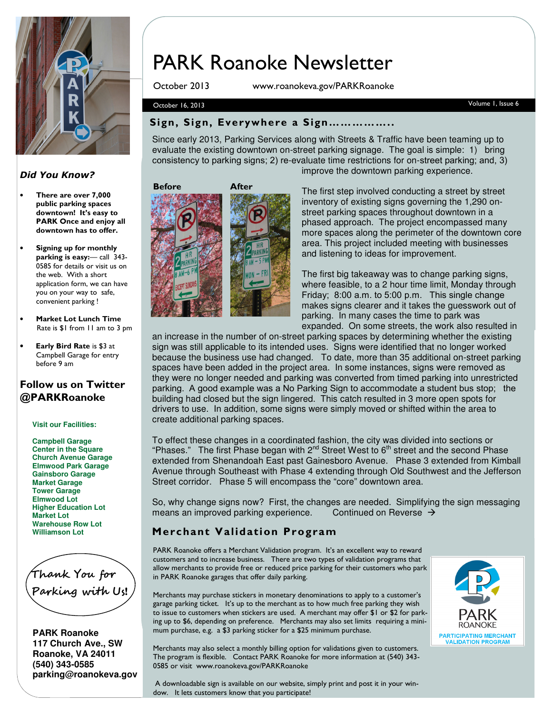

#### Did You Know?

- There are over 7,000 public parking spaces downtown! It's easy to PARK Once and enjoy all downtown has to offer.
- Signing up for monthly parking is easy:— call 343- 0585 for details or visit us on the web. With a short application form, we can have you on your way to safe, convenient parking !
- Market Lot Lunch Time Rate is \$1 from 11 am to 3 pm
- Early Bird Rate is \$3 at Campbell Garage for entry before 9 am

#### Follow us on Twitter @PARKRoanoke

**Visit our Facilities:** 

**Campbell Garage Center in the Square Church Avenue Garage Elmwood Park Garage Gainsboro Garage Market Garage Tower Garage Elmwood Lot Higher Education Lot Market Lot Warehouse Row Lot Williamson Lot**

Thank You for Parking with Us!

**PARK Roanoke 117 Church Ave., SW Roanoke, VA 24011 (540) 343-0585 parking@roanokeva.gov** 

# PARK Roanoke Newsletter

October 2013 www.roanokeva.gov/PARKRoanoke

#### October 16, 2013 Volume 1, Issue 6

#### Sign, Sign, Everywhere a Sign……………..

Since early 2013, Parking Services along with Streets & Traffic have been teaming up to evaluate the existing downtown on-street parking signage. The goal is simple: 1) bring consistency to parking signs; 2) re-evaluate time restrictions for on-street parking; and, 3) improve the downtown parking experience.

#### Before



The first step involved conducting a street by street inventory of existing signs governing the 1,290 onstreet parking spaces throughout downtown in a phased approach. The project encompassed many more spaces along the perimeter of the downtown core area. This project included meeting with businesses and listening to ideas for improvement.

The first big takeaway was to change parking signs, where feasible, to a 2 hour time limit, Monday through Friday; 8:00 a.m. to 5:00 p.m. This single change makes signs clearer and it takes the guesswork out of parking. In many cases the time to park was expanded. On some streets, the work also resulted in

an increase in the number of on-street parking spaces by determining whether the existing sign was still applicable to its intended uses. Signs were identified that no longer worked because the business use had changed. To date, more than 35 additional on-street parking spaces have been added in the project area. In some instances, signs were removed as they were no longer needed and parking was converted from timed parking into unrestricted parking. A good example was a No Parking Sign to accommodate a student bus stop; the building had closed but the sign lingered. This catch resulted in 3 more open spots for drivers to use. In addition, some signs were simply moved or shifted within the area to create additional parking spaces.

To effect these changes in a coordinated fashion, the city was divided into sections or "Phases." The first Phase began with  $2^{nd}$  Street West to  $6^{th}$  street and the second Phase extended from Shenandoah East past Gainesboro Avenue. Phase 3 extended from Kimball Avenue through Southeast with Phase 4 extending through Old Southwest and the Jefferson Street corridor. Phase 5 will encompass the "core" downtown area.

So, why change signs now? First, the changes are needed. Simplifying the sign messaging means an improved parking experience. Continued on Reverse  $\rightarrow$ 

#### Merchant Validation Program

PARK Roanoke offers a Merchant Validation program. It's an excellent way to reward customers and to increase business. There are two types of validation programs that allow merchants to provide free or reduced price parking for their customers who park in PARK Roanoke garages that offer daily parking.

Merchants may purchase stickers in monetary denominations to apply to a customer's garage parking ticket. It's up to the merchant as to how much free parking they wish to issue to customers when stickers are used. A merchant may offer \$1 or \$2 for parking up to \$6, depending on preference. Merchants may also set limits requiring a minimum purchase, e.g. a \$3 parking sticker for a \$25 minimum purchase.

Merchants may also select a monthly billing option for validations given to customers. The program is flexible. Contact PARK Roanoke for more information at (540) 343- 0585 or visit www.roanokeva.gov/PARKRoanoke



 A downloadable sign is available on our website, simply print and post it in your window. It lets customers know that you participate!